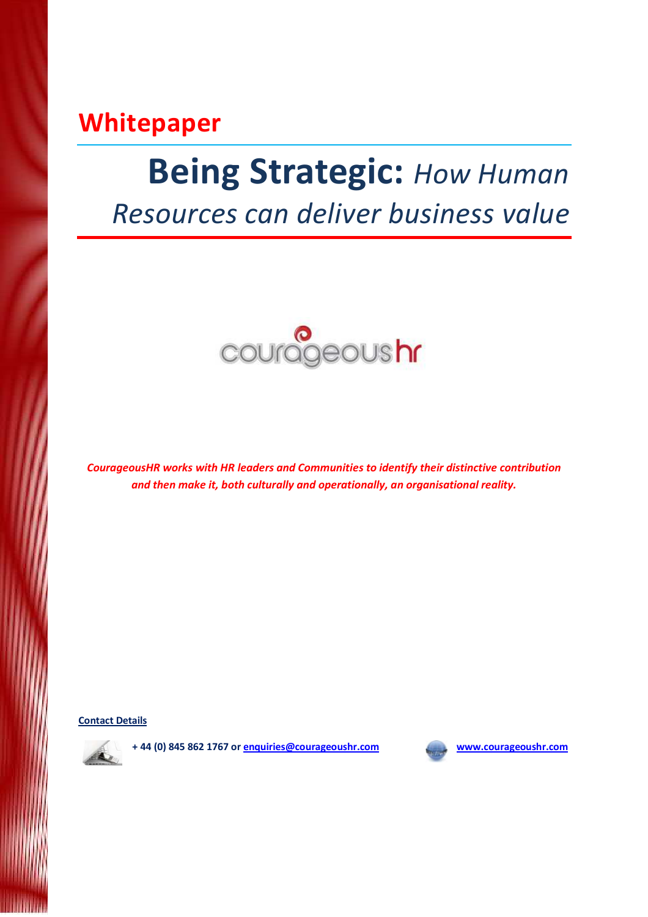# Whitepaper

# **Being Strategic: How Human**

Resources can deliver business value



CourageousHR works with HR leaders and Communities to identify their distinctive contribution and then make it, both culturally and operationally, an organisational reality.

Contact Details



+ 44 (0) 845 862 1767 or enquiries@courageoushr.com www.courageoushr.com

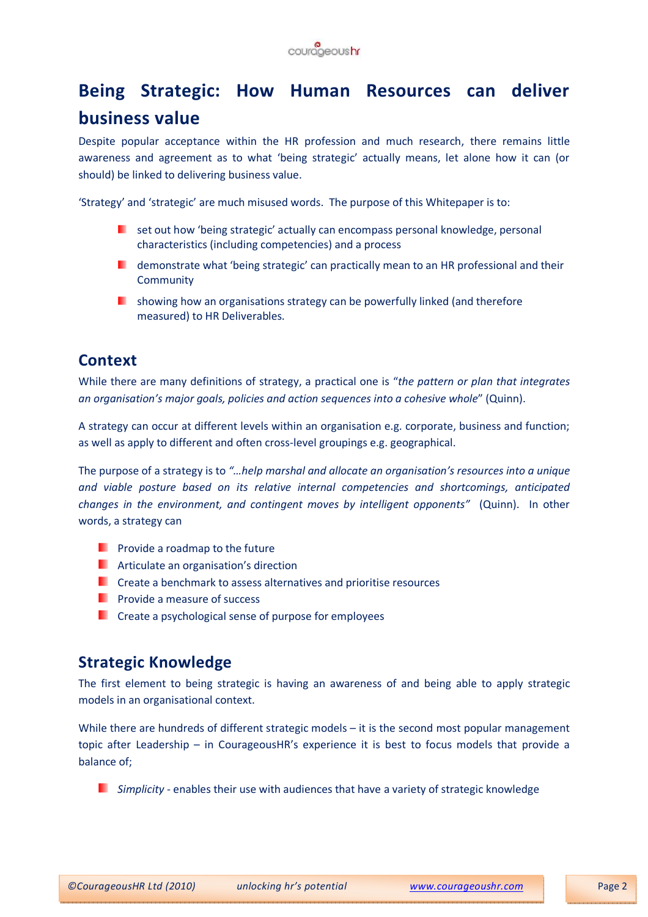

# Being Strategic: How Human Resources can deliver business value

Despite popular acceptance within the HR profession and much research, there remains little awareness and agreement as to what 'being strategic' actually means, let alone how it can (or should) be linked to delivering business value.

'Strategy' and 'strategic' are much misused words. The purpose of this Whitepaper is to:

- **E** set out how 'being strategic' actually can encompass personal knowledge, personal characteristics (including competencies) and a process
- **D** demonstrate what 'being strategic' can practically mean to an HR professional and their **Community**
- **I** showing how an organisations strategy can be powerfully linked (and therefore measured) to HR Deliverables.

# **Context**

While there are many definitions of strategy, a practical one is "the pattern or plan that integrates" an organisation's major goals, policies and action sequences into a cohesive whole" (Quinn).

A strategy can occur at different levels within an organisation e.g. corporate, business and function; as well as apply to different and often cross-level groupings e.g. geographical.

The purpose of a strategy is to "…help marshal and allocate an organisation's resources into a unique and viable posture based on its relative internal competencies and shortcomings, anticipated changes in the environment, and contingent moves by intelligent opponents" (Quinn). In other words, a strategy can

- **Provide a roadmap to the future**
- **Articulate an organisation's direction**
- **C** Create a benchmark to assess alternatives and prioritise resources
- $\blacksquare$  Provide a measure of success
- **Create a psychological sense of purpose for employees**

# Strategic Knowledge

The first element to being strategic is having an awareness of and being able to apply strategic models in an organisational context.

While there are hundreds of different strategic models – it is the second most popular management topic after Leadership – in CourageousHR's experience it is best to focus models that provide a balance of;

 $\Box$  Simplicity - enables their use with audiences that have a variety of strategic knowledge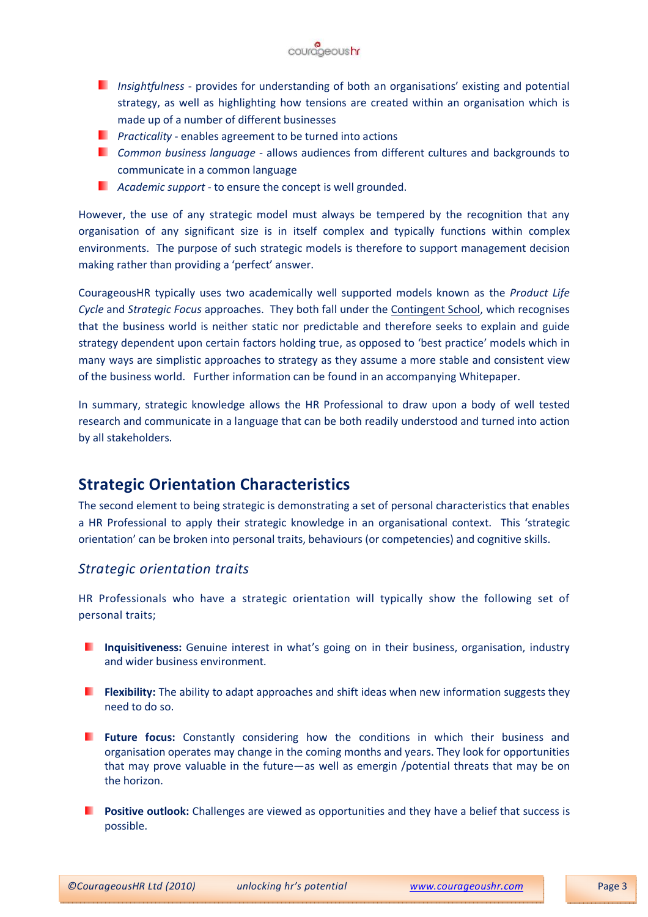

- **Insightfulness provides for understanding of both an organisations' existing and potential** strategy, as well as highlighting how tensions are created within an organisation which is made up of a number of different businesses
- **Practicality enables agreement to be turned into actions**
- **E** Common business language allows audiences from different cultures and backgrounds to communicate in a common language
- **Academic support to ensure the concept is well grounded.**

However, the use of any strategic model must always be tempered by the recognition that any organisation of any significant size is in itself complex and typically functions within complex environments. The purpose of such strategic models is therefore to support management decision making rather than providing a 'perfect' answer.

CourageousHR typically uses two academically well supported models known as the Product Life Cycle and Strategic Focus approaches. They both fall under the Contingent School, which recognises that the business world is neither static nor predictable and therefore seeks to explain and guide strategy dependent upon certain factors holding true, as opposed to 'best practice' models which in many ways are simplistic approaches to strategy as they assume a more stable and consistent view of the business world. Further information can be found in an accompanying Whitepaper.

In summary, strategic knowledge allows the HR Professional to draw upon a body of well tested research and communicate in a language that can be both readily understood and turned into action by all stakeholders.

# Strategic Orientation Characteristics

The second element to being strategic is demonstrating a set of personal characteristics that enables a HR Professional to apply their strategic knowledge in an organisational context. This 'strategic orientation' can be broken into personal traits, behaviours (or competencies) and cognitive skills.

#### Strategic orientation traits

HR Professionals who have a strategic orientation will typically show the following set of personal traits;

- **Inquisitiveness:** Genuine interest in what's going on in their business, organisation, industry and wider business environment.
- **Flexibility:** The ability to adapt approaches and shift ideas when new information suggests they need to do so.
- **Future focus:** Constantly considering how the conditions in which their business and organisation operates may change in the coming months and years. They look for opportunities that may prove valuable in the future—as well as emergin /potential threats that may be on the horizon.
- **Positive outlook:** Challenges are viewed as opportunities and they have a belief that success is possible.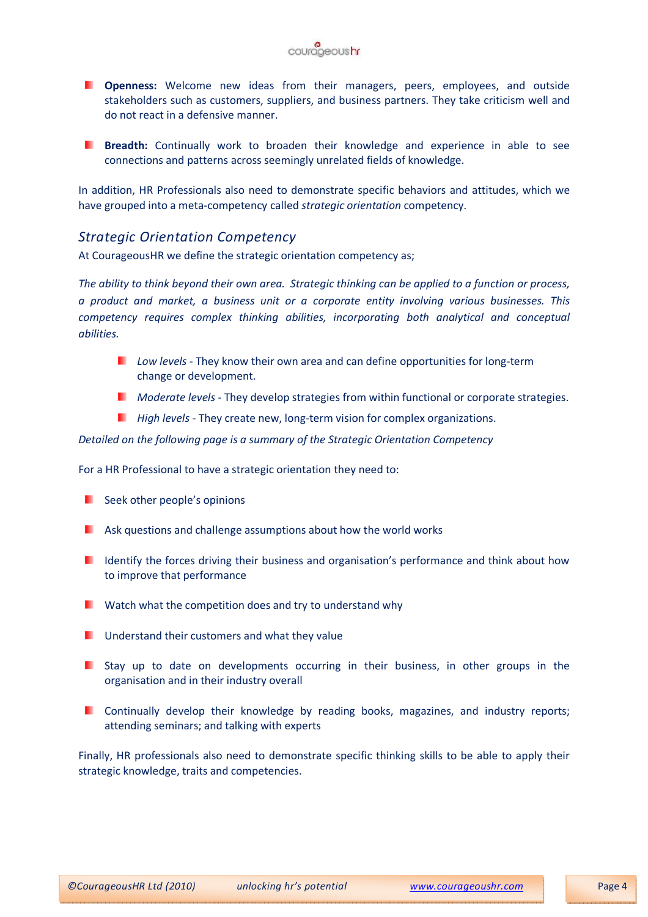

- **Denness:** Welcome new ideas from their managers, peers, employees, and outside stakeholders such as customers, suppliers, and business partners. They take criticism well and do not react in a defensive manner.
- **Breadth:** Continually work to broaden their knowledge and experience in able to see connections and patterns across seemingly unrelated fields of knowledge.

In addition, HR Professionals also need to demonstrate specific behaviors and attitudes, which we have grouped into a meta-competency called strategic orientation competency.

#### Strategic Orientation Competency

At CourageousHR we define the strategic orientation competency as;

The ability to think beyond their own area. Strategic thinking can be applied to a function or process, a product and market, a business unit or a corporate entity involving various businesses. This competency requires complex thinking abilities, incorporating both analytical and conceptual abilities.

- $Low levels$  They know their own area and can define opportunities for long-term change or development.
- **Moderate levels They develop strategies from within functional or corporate strategies.**
- $\blacksquare$  High levels They create new, long-term vision for complex organizations.

Detailed on the following page is a summary of the Strategic Orientation Competency

For a HR Professional to have a strategic orientation they need to:

- **Seek other people's opinions**
- **Ask questions and challenge assumptions about how the world works**
- I Identify the forces driving their business and organisation's performance and think about how to improve that performance
- $\blacksquare$  Watch what the competition does and try to understand why
- **Understand their customers and what they value**
- $\blacksquare$  Stay up to date on developments occurring in their business, in other groups in the organisation and in their industry overall
- **D** Continually develop their knowledge by reading books, magazines, and industry reports; attending seminars; and talking with experts

Finally, HR professionals also need to demonstrate specific thinking skills to be able to apply their strategic knowledge, traits and competencies.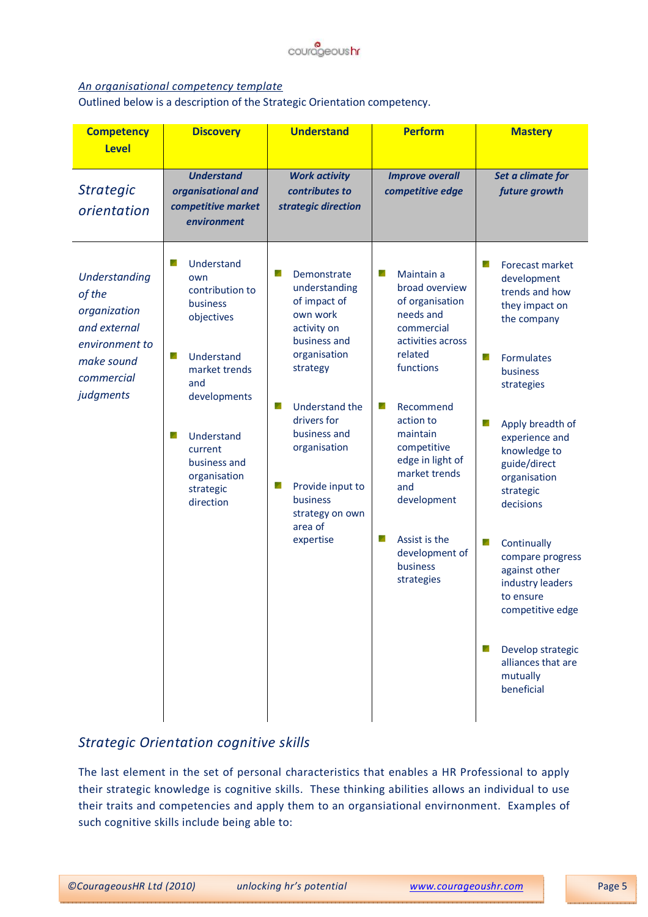

#### An organisational competency template

Outlined below is a description of the Strategic Orientation competency.

| <b>Competency</b><br><b>Level</b>                                                                                         | <b>Discovery</b>                                                                                                                                                                                                       | <b>Understand</b>                                                                                                                                                                                                                                                               | <b>Perform</b>                                                                                                                                                                                                                                                                                                        | <b>Mastery</b>                                                                                                                                                                                                                                                                                                                                                                                                                                    |
|---------------------------------------------------------------------------------------------------------------------------|------------------------------------------------------------------------------------------------------------------------------------------------------------------------------------------------------------------------|---------------------------------------------------------------------------------------------------------------------------------------------------------------------------------------------------------------------------------------------------------------------------------|-----------------------------------------------------------------------------------------------------------------------------------------------------------------------------------------------------------------------------------------------------------------------------------------------------------------------|---------------------------------------------------------------------------------------------------------------------------------------------------------------------------------------------------------------------------------------------------------------------------------------------------------------------------------------------------------------------------------------------------------------------------------------------------|
| <b>Strategic</b><br>orientation                                                                                           | <b>Understand</b><br>organisational and<br>competitive market<br>environment                                                                                                                                           | <b>Work activity</b><br>contributes to<br>strategic direction                                                                                                                                                                                                                   | <b>Improve overall</b><br>competitive edge                                                                                                                                                                                                                                                                            | Set a climate for<br>future growth                                                                                                                                                                                                                                                                                                                                                                                                                |
| <b>Understanding</b><br>of the<br>organization<br>and external<br>environment to<br>make sound<br>commercial<br>judgments | r<br>Understand<br>own<br>contribution to<br>business<br>objectives<br>Understand<br>y<br>market trends<br>and<br>developments<br>y<br>Understand<br>current<br>business and<br>organisation<br>strategic<br>direction | ø<br>Demonstrate<br>understanding<br>of impact of<br>own work<br>activity on<br>business and<br>organisation<br>strategy<br>Understand the<br>y.<br>drivers for<br>business and<br>organisation<br>Provide input to<br>ø<br>business<br>strategy on own<br>area of<br>expertise | Maintain a<br>o a<br>broad overview<br>of organisation<br>needs and<br>commercial<br>activities across<br>related<br>functions<br>y<br>Recommend<br>action to<br>maintain<br>competitive<br>edge in light of<br>market trends<br>and<br>development<br>×<br>Assist is the<br>development of<br>business<br>strategies | ×<br>Forecast market<br>development<br>trends and how<br>they impact on<br>the company<br>Formulates<br>g.<br>business<br>strategies<br>y<br>Apply breadth of<br>experience and<br>knowledge to<br>guide/direct<br>organisation<br>strategic<br>decisions<br>y<br>Continually<br>compare progress<br>against other<br>industry leaders<br>to ensure<br>competitive edge<br>Develop strategic<br>×<br>alliances that are<br>mutually<br>beneficial |

### Strategic Orientation cognitive skills

The last element in the set of personal characteristics that enables a HR Professional to apply their strategic knowledge is cognitive skills. These thinking abilities allows an individual to use their traits and competencies and apply them to an organsiational envirnonment. Examples of such cognitive skills include being able to: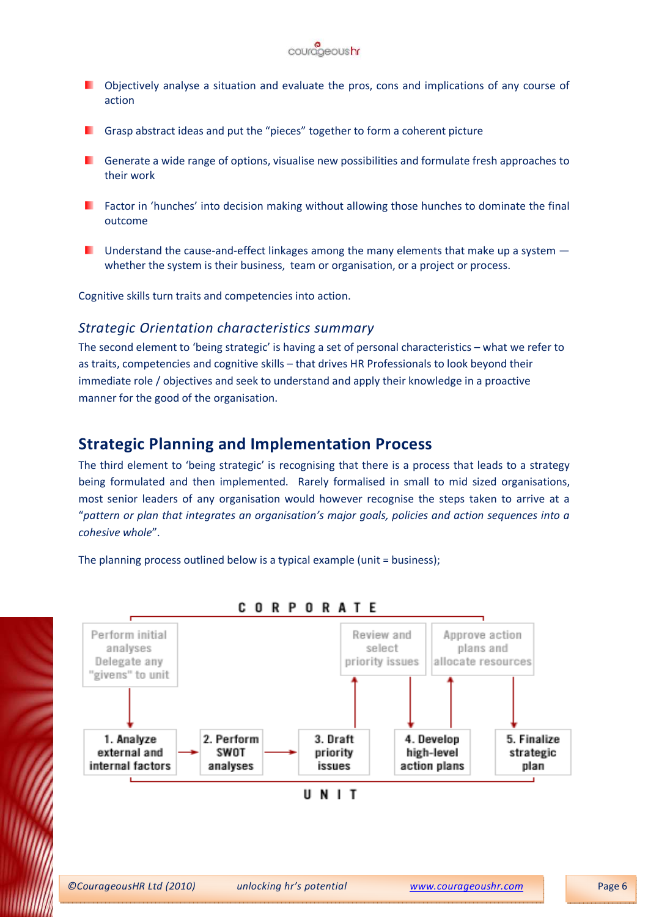

- **D** Objectively analyse a situation and evaluate the pros, cons and implications of any course of action
- **F** Grasp abstract ideas and put the "pieces" together to form a coherent picture
- **Confidence a** wide range of options, visualise new possibilities and formulate fresh approaches to their work
- **Factor in 'hunches' into decision making without allowing those hunches to dominate the final** outcome
- **Understand the cause-and-effect linkages among the many elements that make up a system**  $$ whether the system is their business, team or organisation, or a project or process.

Cognitive skills turn traits and competencies into action.

#### Strategic Orientation characteristics summary

The second element to 'being strategic' is having a set of personal characteristics – what we refer to as traits, competencies and cognitive skills – that drives HR Professionals to look beyond their immediate role / objectives and seek to understand and apply their knowledge in a proactive manner for the good of the organisation.

## Strategic Planning and Implementation Process

The third element to 'being strategic' is recognising that there is a process that leads to a strategy being formulated and then implemented. Rarely formalised in small to mid sized organisations, most senior leaders of any organisation would however recognise the steps taken to arrive at a "pattern or plan that integrates an organisation's major goals, policies and action sequences into a cohesive whole".

The planning process outlined below is a typical example (unit = business);

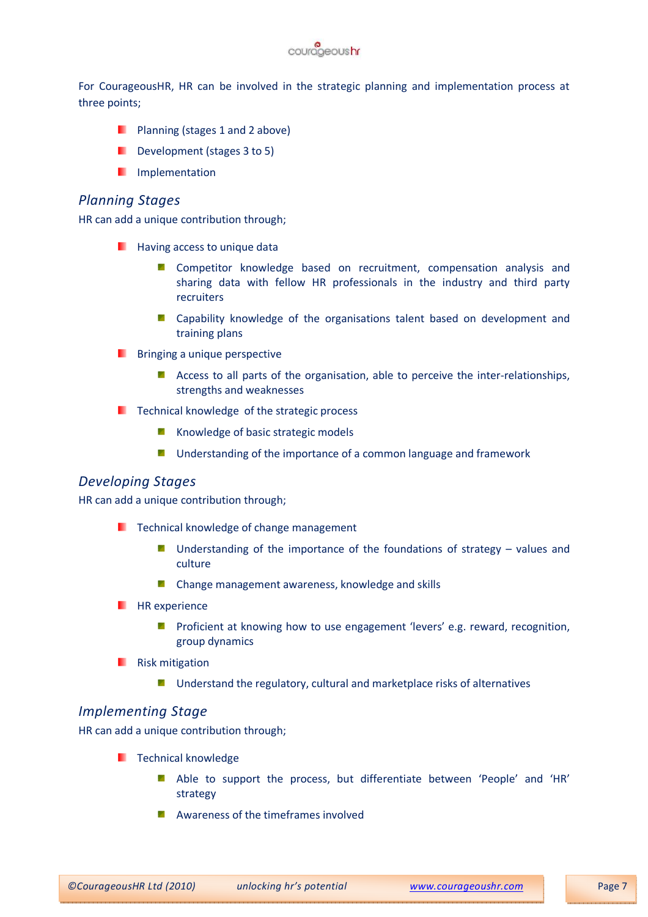

For CourageousHR, HR can be involved in the strategic planning and implementation process at three points;

- **Planning (stages 1 and 2 above)**
- Development (stages 3 to 5)
- **I** Implementation

#### Planning Stages

HR can add a unique contribution through;

- **Having access to unique data** 
	- **E** Competitor knowledge based on recruitment, compensation analysis and sharing data with fellow HR professionals in the industry and third party recruiters
	- **E** Capability knowledge of the organisations talent based on development and training plans
- **Bringing a unique perspective** 
	- Access to all parts of the organisation, able to perceive the inter-relationships, strengths and weaknesses
- $\blacksquare$  Technical knowledge of the strategic process
	- **K** Knowledge of basic strategic models
	- **E** Understanding of the importance of a common language and framework

#### Developing Stages

HR can add a unique contribution through;

- $\blacksquare$  Technical knowledge of change management
	- **Understanding of the importance of the foundations of strategy values and** culture
	- **E** Change management awareness, knowledge and skills
- $H$  HR experience
	- **Proficient at knowing how to use engagement 'levers' e.g. reward, recognition,** group dynamics
- **Risk mitigation** 
	- y Understand the regulatory, cultural and marketplace risks of alternatives

#### Implementing Stage

HR can add a unique contribution through;

- **Technical knowledge** 
	- **Able to support the process, but differentiate between 'People' and 'HR'** strategy
	- **A** Awareness of the timeframes involved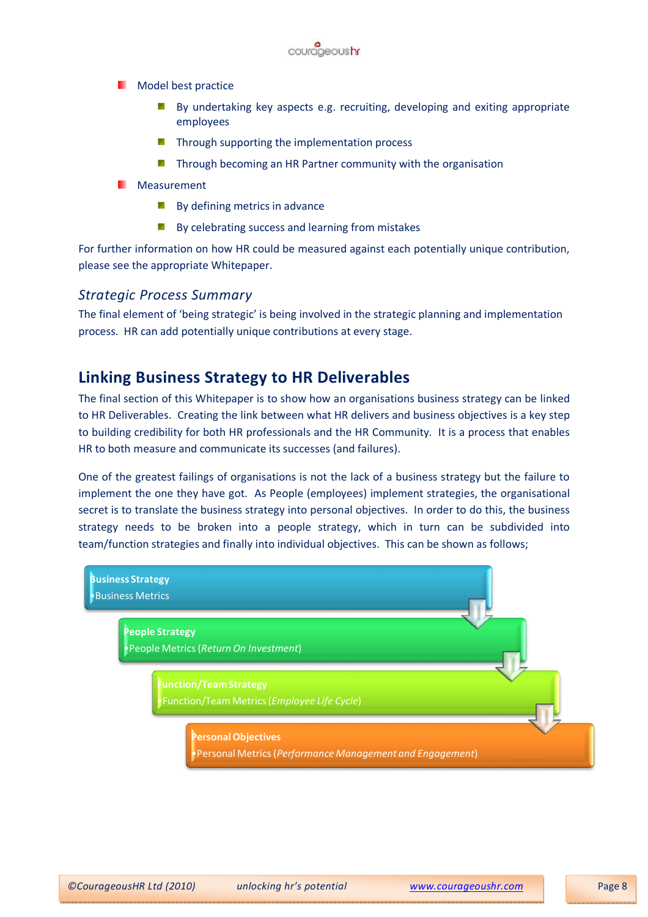

**Model best practice** 

- gn. By undertaking key aspects e.g. recruiting, developing and exiting appropriate employees
- Through supporting the implementation process
- **T** Through becoming an HR Partner community with the organisation
- **Neasurement** 
	- $\blacksquare$  By defining metrics in advance
	- **By celebrating success and learning from mistakes**

For further information on how HR could be measured against each potentially unique contribution, please see the appropriate Whitepaper.

#### Strategic Process Summary

The final element of 'being strategic' is being involved in the strategic planning and implementation process. HR can add potentially unique contributions at every stage.

## Linking Business Strategy to HR Deliverables

The final section of this Whitepaper is to show how an organisations business strategy can be linked to HR Deliverables. Creating the link between what HR delivers and business objectives is a key step to building credibility for both HR professionals and the HR Community. It is a process that enables HR to both measure and communicate its successes (and failures).

One of the greatest failings of organisations is not the lack of a business strategy but the failure to implement the one they have got. As People (employees) implement strategies, the organisational secret is to translate the business strategy into personal objectives. In order to do this, the business strategy needs to be broken into a people strategy, which in turn can be subdivided into team/function strategies and finally into individual objectives. This can be shown as follows;

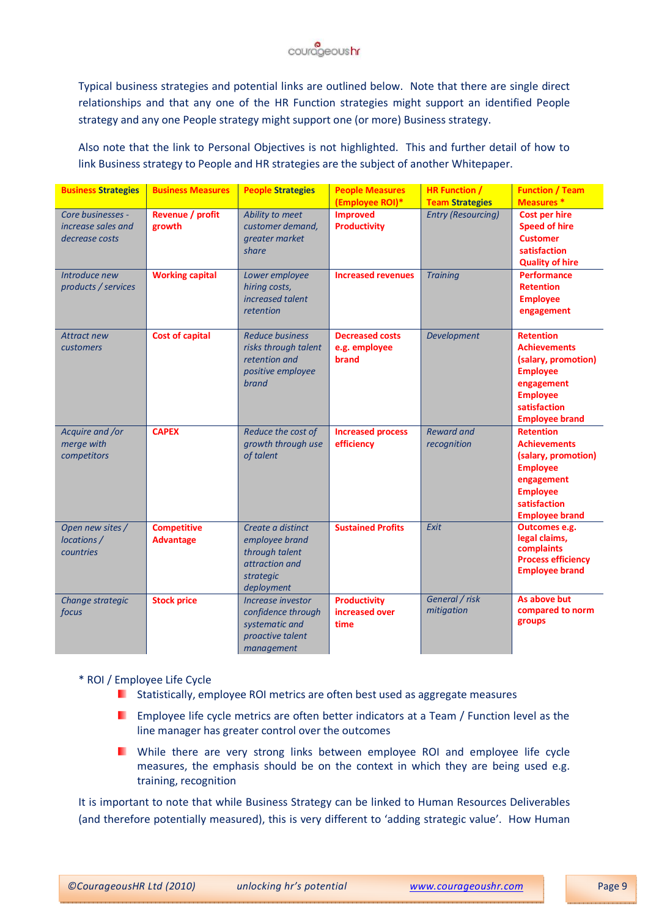

Typical business strategies and potential links are outlined below. Note that there are single direct relationships and that any one of the HR Function strategies might support an identified People strategy and any one People strategy might support one (or more) Business strategy.

Also note that the link to Personal Objectives is not highlighted. This and further detail of how to link Business strategy to People and HR strategies are the subject of another Whitepaper.

| <b>Business Strategies</b>                                | <b>Business Measures</b>               | <b>People Strategies</b>                                                                             | <b>People Measures</b><br>(Employee ROI)*        | <b>HR Function /</b><br><b>Team Strategies</b> | <b>Function / Team</b><br><b>Measures</b> *                                                                                                                 |
|-----------------------------------------------------------|----------------------------------------|------------------------------------------------------------------------------------------------------|--------------------------------------------------|------------------------------------------------|-------------------------------------------------------------------------------------------------------------------------------------------------------------|
| Core businesses -<br>increase sales and<br>decrease costs | Revenue / profit<br>growth             | Ability to meet<br>customer demand,<br>greater market<br>share                                       | <b>Improved</b><br><b>Productivity</b>           | <b>Entry (Resourcing)</b>                      | <b>Cost per hire</b><br><b>Speed of hire</b><br><b>Customer</b><br>satisfaction<br><b>Quality of hire</b>                                                   |
| Introduce new<br>products / services                      | <b>Working capital</b>                 | Lower employee<br>hiring costs,<br>increased talent<br>retention                                     | <b>Increased revenues</b>                        | <b>Training</b>                                | <b>Performance</b><br><b>Retention</b><br><b>Employee</b><br>engagement                                                                                     |
| <b>Attract new</b><br>customers                           | <b>Cost of capital</b>                 | <b>Reduce business</b><br>risks through talent<br>retention and<br>positive employee<br><b>brand</b> | <b>Decreased costs</b><br>e.g. employee<br>brand | <b>Development</b>                             | <b>Retention</b><br><b>Achievements</b><br>(salary, promotion)<br><b>Employee</b><br>engagement<br><b>Employee</b><br>satisfaction<br><b>Employee brand</b> |
| Acquire and /or<br>merge with<br>competitors              | <b>CAPEX</b>                           | Reduce the cost of<br>growth through use<br>of talent                                                | <b>Increased process</b><br>efficiency           | <b>Reward and</b><br>recognition               | <b>Retention</b><br><b>Achievements</b><br>(salary, promotion)<br><b>Employee</b><br>engagement<br><b>Employee</b><br>satisfaction<br><b>Employee brand</b> |
| Open new sites /<br>locations /<br>countries              | <b>Competitive</b><br><b>Advantage</b> | Create a distinct<br>employee brand<br>through talent<br>attraction and<br>strategic<br>deployment   | <b>Sustained Profits</b>                         | Exit                                           | Outcomes e.g.<br>legal claims,<br>complaints<br><b>Process efficiency</b><br><b>Employee brand</b>                                                          |
| Change strategic<br>focus                                 | <b>Stock price</b>                     | Increase investor<br>confidence through<br>systematic and<br>proactive talent<br>management          | <b>Productivity</b><br>increased over<br>time    | General / risk<br>mitigation                   | As above but<br>compared to norm<br>groups                                                                                                                  |

\* ROI / Employee Life Cycle

- **E** Statistically, employee ROI metrics are often best used as aggregate measures
- . Employee life cycle metrics are often better indicators at a Team / Function level as the line manager has greater control over the outcomes
- **I** While there are very strong links between employee ROI and employee life cycle measures, the emphasis should be on the context in which they are being used e.g. training, recognition

It is important to note that while Business Strategy can be linked to Human Resources Deliverables (and therefore potentially measured), this is very different to 'adding strategic value'. How Human